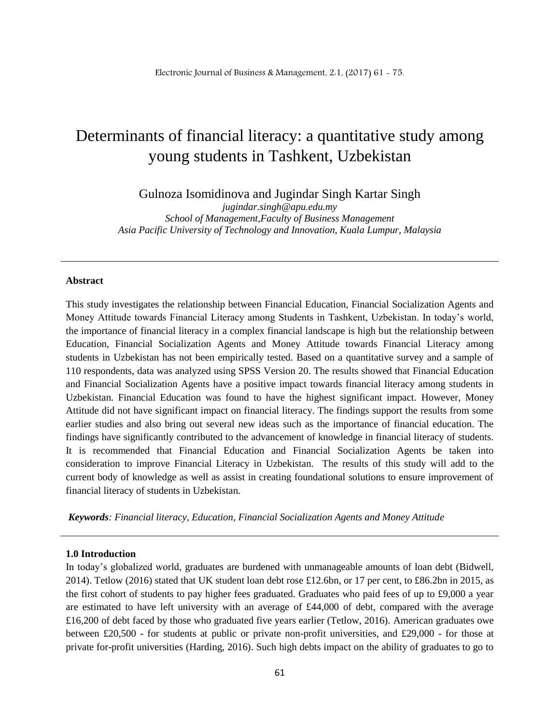# Determinants of financial literacy: a quantitative study among young students in Tashkent, Uzbekistan

Gulnoza Isomidinova and Jugindar Singh Kartar Singh

*jugindar.singh@apu.edu.my School of Management,Faculty of Business Management Asia Pacific University of Technology and Innovation, Kuala Lumpur, Malaysia*

#### **Abstract**

This study investigates the relationship between Financial Education, Financial Socialization Agents and Money Attitude towards Financial Literacy among Students in Tashkent, Uzbekistan. In today's world, the importance of financial literacy in a complex financial landscape is high but the relationship between Education, Financial Socialization Agents and Money Attitude towards Financial Literacy among students in Uzbekistan has not been empirically tested. Based on a quantitative survey and a sample of 110 respondents, data was analyzed using SPSS Version 20. The results showed that Financial Education and Financial Socialization Agents have a positive impact towards financial literacy among students in Uzbekistan. Financial Education was found to have the highest significant impact. However, Money Attitude did not have significant impact on financial literacy. The findings support the results from some earlier studies and also bring out several new ideas such as the importance of financial education. The findings have significantly contributed to the advancement of knowledge in financial literacy of students. It is recommended that Financial Education and Financial Socialization Agents be taken into consideration to improve Financial Literacy in Uzbekistan. The results of this study will add to the current body of knowledge as well as assist in creating foundational solutions to ensure improvement of financial literacy of students in Uzbekistan.

*Keywords: Financial literacy, Education, Financial Socialization Agents and Money Attitude* 

#### **1.0 Introduction**

In today's globalized world, graduates are burdened with unmanageable amounts of loan debt (Bidwell, 2014). Tetlow (2016) stated that UK student loan debt rose £12.6bn, or 17 per cent, to £86.2bn in 2015, as the first cohort of students to pay higher fees graduated. Graduates who paid fees of up to £9,000 a year are estimated to have left university with an average of £44,000 of debt, compared with the average £16,200 of debt faced by those who graduated five years earlier (Tetlow, 2016). American graduates owe between £20,500 - for students at public or private non-profit universities, and £29,000 - for those at private for-profit universities (Harding, 2016). Such high debts impact on the ability of graduates to go to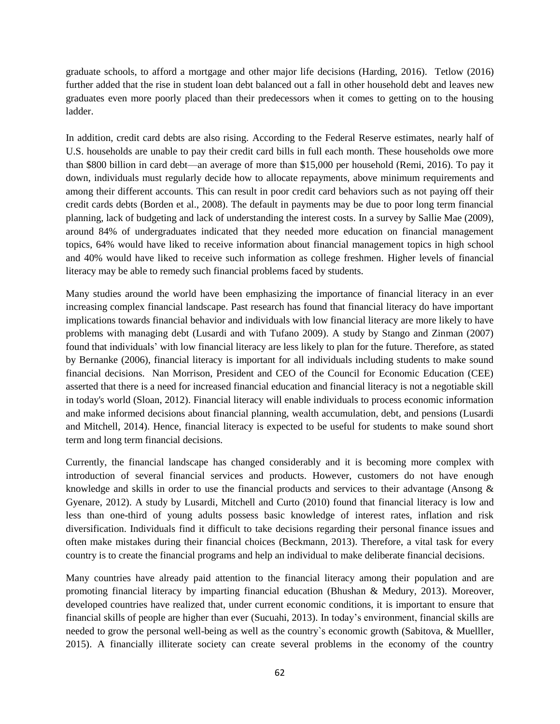graduate schools, to afford a mortgage and other major life decisions (Harding, 2016). Tetlow (2016) further added that the rise in student loan debt balanced out a fall in other household debt and leaves new graduates even more poorly placed than their predecessors when it comes to getting on to the housing ladder.

In addition, credit card debts are also rising. According to the Federal Reserve estimates, nearly half of U.S. households are unable to pay their credit card bills in full each month. These households owe more than \$800 billion in card debt—an average of more than \$15,000 per household (Remi, 2016). To pay it down, individuals must regularly decide how to allocate repayments, above minimum requirements and among their different accounts. This can result in poor credit card behaviors such as not paying off their credit cards debts (Borden et al., 2008). The default in payments may be due to poor long term financial planning, lack of budgeting and lack of understanding the interest costs. In a survey by Sallie Mae (2009), around 84% of undergraduates indicated that they needed more education on financial management topics, 64% would have liked to receive information about financial management topics in high school and 40% would have liked to receive such information as college freshmen. Higher levels of financial literacy may be able to remedy such financial problems faced by students.

Many studies around the world have been emphasizing the importance of financial literacy in an ever increasing complex financial landscape. Past research has found that financial literacy do have important implications towards financial behavior and individuals with low financial literacy are more likely to have problems with managing debt (Lusardi and with Tufano 2009). A study by Stango and Zinman (2007) found that individuals' with low financial literacy are less likely to plan for the future. Therefore, as stated by Bernanke (2006), financial literacy is important for all individuals including students to make sound financial decisions. Nan Morrison, President and CEO of the Council for Economic Education (CEE) asserted that there is a need for increased financial education and financial literacy is not a negotiable skill in today's world (Sloan, 2012). Financial literacy will enable individuals to process economic information and make informed decisions about financial planning, wealth accumulation, debt, and pensions (Lusardi and Mitchell, 2014). Hence, financial literacy is expected to be useful for students to make sound short term and long term financial decisions.

Currently, the financial landscape has changed considerably and it is becoming more complex with introduction of several financial services and products. However, customers do not have enough knowledge and skills in order to use the financial products and services to their advantage (Ansong & Gyenare, 2012). A study by Lusardi, Mitchell and Curto (2010) found that financial literacy is low and less than one-third of young adults possess basic knowledge of interest rates, inflation and risk diversification. Individuals find it difficult to take decisions regarding their personal finance issues and often make mistakes during their financial choices (Beckmann, 2013). Therefore, a vital task for every country is to create the financial programs and help an individual to make deliberate financial decisions.

Many countries have already paid attention to the financial literacy among their population and are promoting financial literacy by imparting financial education (Bhushan & Medury, 2013). Moreover, developed countries have realized that, under current economic conditions, it is important to ensure that financial skills of people are higher than ever (Sucuahi, 2013). In today's environment, financial skills are needed to grow the personal well-being as well as the country`s economic growth (Sabitova, & Muelller, 2015). A financially illiterate society can create several problems in the economy of the country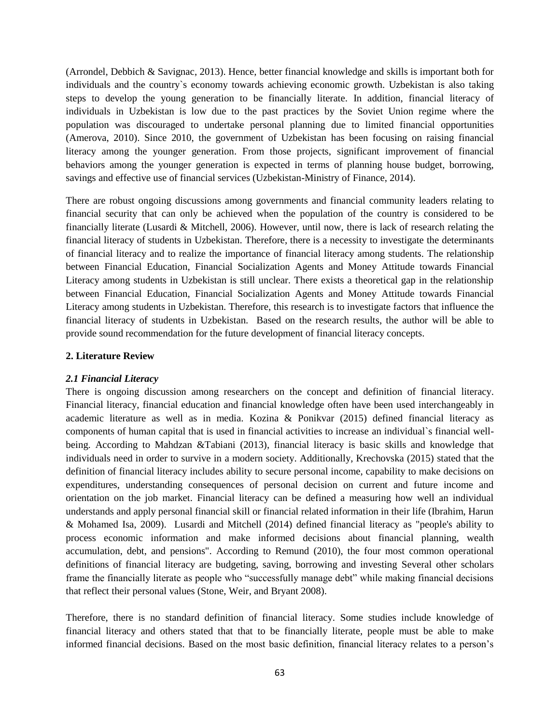(Arrondel, Debbich & Savignac, 2013). Hence, better financial knowledge and skills is important both for individuals and the country`s economy towards achieving economic growth. Uzbekistan is also taking steps to develop the young generation to be financially literate. In addition, financial literacy of individuals in Uzbekistan is low due to the past practices by the Soviet Union regime where the population was discouraged to undertake personal planning due to limited financial opportunities (Amerova, 2010). Since 2010, the government of Uzbekistan has been focusing on raising financial literacy among the younger generation. From those projects, significant improvement of financial behaviors among the younger generation is expected in terms of planning house budget, borrowing, savings and effective use of financial services (Uzbekistan-Ministry of Finance, 2014).

There are robust ongoing discussions among governments and financial community leaders relating to financial security that can only be achieved when the population of the country is considered to be financially literate (Lusardi & Mitchell, 2006). However, until now, there is lack of research relating the financial literacy of students in Uzbekistan. Therefore, there is a necessity to investigate the determinants of financial literacy and to realize the importance of financial literacy among students. The relationship between Financial Education, Financial Socialization Agents and Money Attitude towards Financial Literacy among students in Uzbekistan is still unclear. There exists a theoretical gap in the relationship between Financial Education, Financial Socialization Agents and Money Attitude towards Financial Literacy among students in Uzbekistan. Therefore, this research is to investigate factors that influence the financial literacy of students in Uzbekistan. Based on the research results, the author will be able to provide sound recommendation for the future development of financial literacy concepts.

# **2. Literature Review**

# *2.1 Financial Literacy*

There is ongoing discussion among researchers on the concept and definition of financial literacy. Financial literacy, financial education and financial knowledge often have been used interchangeably in academic literature as well as in media. Kozina & Ponikvar (2015) defined financial literacy as components of human capital that is used in financial activities to increase an individual`s financial wellbeing. According to Mahdzan &Tabiani (2013), financial literacy is basic skills and knowledge that individuals need in order to survive in a modern society. Additionally, Krechovska (2015) stated that the definition of financial literacy includes ability to secure personal income, capability to make decisions on expenditures, understanding consequences of personal decision on current and future income and orientation on the job market. Financial literacy can be defined a measuring how well an individual understands and apply personal financial skill or financial related information in their life (Ibrahim, Harun & Mohamed Isa, 2009). Lusardi and Mitchell (2014) defined financial literacy as "people's ability to process economic information and make informed decisions about financial planning, wealth accumulation, debt, and pensions". According to Remund (2010), the four most common operational definitions of financial literacy are budgeting, saving, borrowing and investing Several other scholars frame the financially literate as people who "successfully manage debt" while making financial decisions that reflect their personal values (Stone, Weir, and Bryant 2008).

Therefore, there is no standard definition of financial literacy. Some studies include knowledge of financial literacy and others stated that that to be financially literate, people must be able to make informed financial decisions. Based on the most basic definition, financial literacy relates to a person's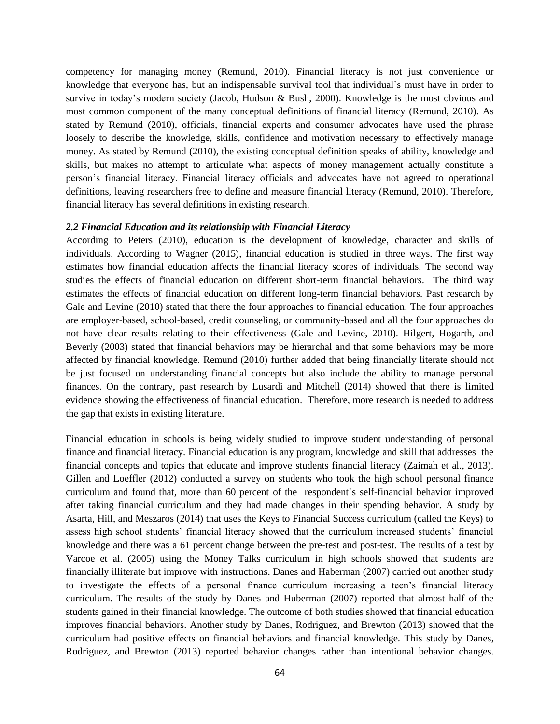competency for managing money (Remund, 2010). Financial literacy is not just convenience or knowledge that everyone has, but an indispensable survival tool that individual`s must have in order to survive in today's modern society (Jacob, Hudson & Bush, 2000). Knowledge is the most obvious and most common component of the many conceptual definitions of financial literacy (Remund, 2010). As stated by Remund (2010), officials, financial experts and consumer advocates have used the phrase loosely to describe the knowledge, skills, confidence and motivation necessary to effectively manage money. As stated by Remund (2010), the existing conceptual definition speaks of ability, knowledge and skills, but makes no attempt to articulate what aspects of money management actually constitute a person's financial literacy. Financial literacy officials and advocates have not agreed to operational definitions, leaving researchers free to define and measure financial literacy (Remund, 2010). Therefore, financial literacy has several definitions in existing research.

## *2.2 Financial Education and its relationship with Financial Literacy*

According to Peters (2010), education is the development of knowledge, character and skills of individuals. According to Wagner (2015), financial education is studied in three ways. The first way estimates how financial education affects the financial literacy scores of individuals. The second way studies the effects of financial education on different short-term financial behaviors. The third way estimates the effects of financial education on different long-term financial behaviors. Past research by Gale and Levine (2010) stated that there the four approaches to financial education. The four approaches are employer-based, school-based, credit counseling, or community-based and all the four approaches do not have clear results relating to their effectiveness (Gale and Levine, 2010). Hilgert, Hogarth, and Beverly (2003) stated that financial behaviors may be hierarchal and that some behaviors may be more affected by financial knowledge. Remund (2010) further added that being financially literate should not be just focused on understanding financial concepts but also include the ability to manage personal finances. On the contrary, past research by Lusardi and Mitchell (2014) showed that there is limited evidence showing the effectiveness of financial education. Therefore, more research is needed to address the gap that exists in existing literature.

Financial education in schools is being widely studied to improve student understanding of personal finance and financial literacy. Financial education is any program, knowledge and skill that addresses the financial concepts and topics that educate and improve students financial literacy (Zaimah et al., 2013). Gillen and Loeffler (2012) conducted a survey on students who took the high school personal finance curriculum and found that, more than 60 percent of the respondent`s self-financial behavior improved after taking financial curriculum and they had made changes in their spending behavior. A study by Asarta, Hill, and Meszaros (2014) that uses the Keys to Financial Success curriculum (called the Keys) to assess high school students' financial literacy showed that the curriculum increased students' financial knowledge and there was a 61 percent change between the pre-test and post-test. The results of a test by Varcoe et al. (2005) using the Money Talks curriculum in high schools showed that students are financially illiterate but improve with instructions. Danes and Haberman (2007) carried out another study to investigate the effects of a personal finance curriculum increasing a teen's financial literacy curriculum. The results of the study by Danes and Huberman (2007) reported that almost half of the students gained in their financial knowledge. The outcome of both studies showed that financial education improves financial behaviors. Another study by Danes, Rodriguez, and Brewton (2013) showed that the curriculum had positive effects on financial behaviors and financial knowledge. This study by Danes, Rodriguez, and Brewton (2013) reported behavior changes rather than intentional behavior changes.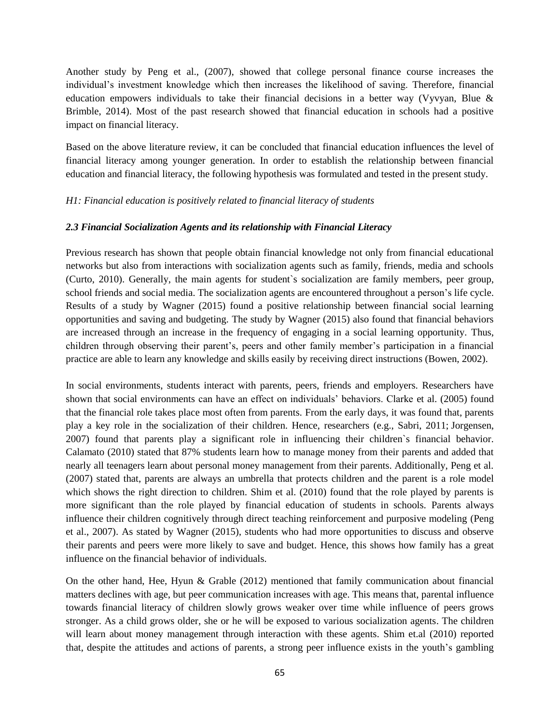Another study by Peng et al., (2007), showed that college personal finance course increases the individual's investment knowledge which then increases the likelihood of saving. Therefore, financial education empowers individuals to take their financial decisions in a better way (Vyvyan, Blue & Brimble, 2014). Most of the past research showed that financial education in schools had a positive impact on financial literacy.

Based on the above literature review, it can be concluded that financial education influences the level of financial literacy among younger generation. In order to establish the relationship between financial education and financial literacy, the following hypothesis was formulated and tested in the present study.

# *H1: Financial education is positively related to financial literacy of students*

# *2.3 Financial Socialization Agents and its relationship with Financial Literacy*

Previous research has shown that people obtain financial knowledge not only from financial educational networks but also from interactions with socialization agents such as family, friends, media and schools (Curto, 2010). Generally, the main agents for student`s socialization are family members, peer group, school friends and social media. The socialization agents are encountered throughout a person's life cycle. Results of a study by Wagner (2015) found a positive relationship between financial social learning opportunities and saving and budgeting. The study by Wagner (2015) also found that financial behaviors are increased through an increase in the frequency of engaging in a social learning opportunity. Thus, children through observing their parent's, peers and other family member's participation in a financial practice are able to learn any knowledge and skills easily by receiving direct instructions (Bowen, 2002).

In social environments, students interact with parents, peers, friends and employers. Researchers have shown that social environments can have an effect on individuals' behaviors. Clarke et al. (2005) found that the financial role takes place most often from parents. From the early days, it was found that, parents play a key role in the socialization of their children. Hence, researchers (e.g., Sabri, 2011; Jorgensen, 2007) found that parents play a significant role in influencing their children`s financial behavior. Calamato (2010) stated that 87% students learn how to manage money from their parents and added that nearly all teenagers learn about personal money management from their parents. Additionally, Peng et al. (2007) stated that, parents are always an umbrella that protects children and the parent is a role model which shows the right direction to children. Shim et al. (2010) found that the role played by parents is more significant than the role played by financial education of students in schools. Parents always influence their children cognitively through direct teaching reinforcement and purposive modeling (Peng et al., 2007). As stated by Wagner (2015), students who had more opportunities to discuss and observe their parents and peers were more likely to save and budget. Hence, this shows how family has a great influence on the financial behavior of individuals.

On the other hand, Hee, Hyun & Grable (2012) mentioned that family communication about financial matters declines with age, but peer communication increases with age. This means that, parental influence towards financial literacy of children slowly grows weaker over time while influence of peers grows stronger. As a child grows older, she or he will be exposed to various socialization agents. The children will learn about money management through interaction with these agents. Shim et.al (2010) reported that, despite the attitudes and actions of parents, a strong peer influence exists in the youth's gambling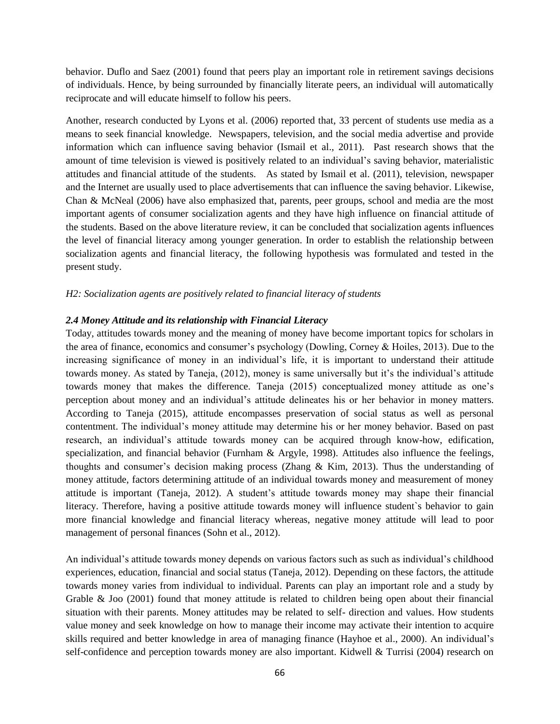behavior. Duflo and Saez (2001) found that peers play an important role in retirement savings decisions of individuals. Hence, by being surrounded by financially literate peers, an individual will automatically reciprocate and will educate himself to follow his peers.

Another, research conducted by Lyons et al. (2006) reported that, 33 percent of students use media as a means to seek financial knowledge. Newspapers, television, and the social media advertise and provide information which can influence saving behavior (Ismail et al., 2011). Past research shows that the amount of time television is viewed is positively related to an individual's saving behavior, materialistic attitudes and financial attitude of the students. As stated by Ismail et al. (2011), television, newspaper and the Internet are usually used to place advertisements that can influence the saving behavior. Likewise, Chan & McNeal (2006) have also emphasized that, parents, peer groups, school and media are the most important agents of consumer socialization agents and they have high influence on financial attitude of the students. Based on the above literature review, it can be concluded that socialization agents influences the level of financial literacy among younger generation. In order to establish the relationship between socialization agents and financial literacy, the following hypothesis was formulated and tested in the present study.

# *H2: Socialization agents are positively related to financial literacy of students*

# *2.4 Money Attitude and its relationship with Financial Literacy*

Today, attitudes towards money and the meaning of money have become important topics for scholars in the area of finance, economics and consumer's psychology (Dowling, Corney & Hoiles, 2013). Due to the increasing significance of money in an individual's life, it is important to understand their attitude towards money. As stated by Taneja, (2012), money is same universally but it's the individual's attitude towards money that makes the difference. Taneja (2015) conceptualized money attitude as one's perception about money and an individual's attitude delineates his or her behavior in money matters. According to Taneja (2015), attitude encompasses preservation of social status as well as personal contentment. The individual's money attitude may determine his or her money behavior. Based on past research, an individual's attitude towards money can be acquired through know-how, edification, specialization, and financial behavior (Furnham & Argyle, 1998). Attitudes also influence the feelings, thoughts and consumer's decision making process (Zhang  $\&$  Kim, 2013). Thus the understanding of money attitude, factors determining attitude of an individual towards money and measurement of money attitude is important (Taneja, 2012). A student's attitude towards money may shape their financial literacy. Therefore, having a positive attitude towards money will influence student`s behavior to gain more financial knowledge and financial literacy whereas, negative money attitude will lead to poor management of personal finances (Sohn et al., 2012).

An individual's attitude towards money depends on various factors such as such as individual's childhood experiences, education, financial and social status (Taneja, 2012). Depending on these factors, the attitude towards money varies from individual to individual. Parents can play an important role and a study by Grable & Joo (2001) found that money attitude is related to children being open about their financial situation with their parents. Money attitudes may be related to self- direction and values. How students value money and seek knowledge on how to manage their income may activate their intention to acquire skills required and better knowledge in area of managing finance (Hayhoe et al., 2000). An individual's self-confidence and perception towards money are also important. Kidwell & Turrisi (2004) research on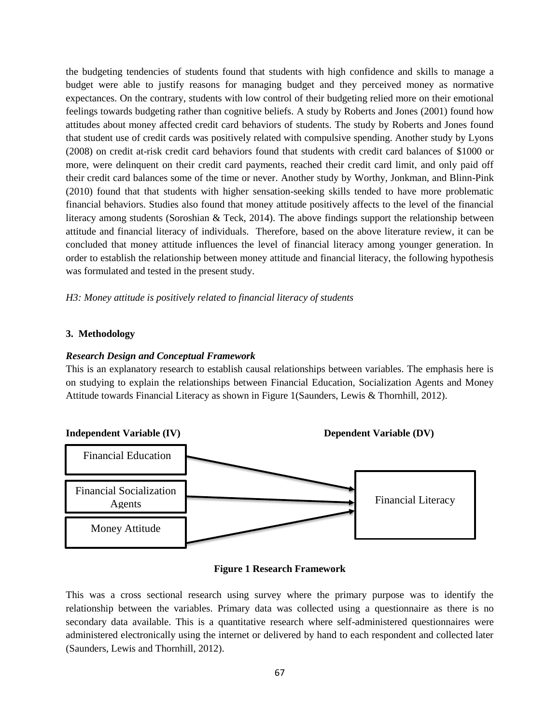the budgeting tendencies of students found that students with high confidence and skills to manage a budget were able to justify reasons for managing budget and they perceived money as normative expectances. On the contrary, students with low control of their budgeting relied more on their emotional feelings towards budgeting rather than cognitive beliefs. A study by Roberts and Jones (2001) found how attitudes about money affected credit card behaviors of students. The study by Roberts and Jones found that student use of credit cards was positively related with compulsive spending. Another study by Lyons (2008) on credit at-risk credit card behaviors found that students with credit card balances of \$1000 or more, were delinquent on their credit card payments, reached their credit card limit, and only paid off their credit card balances some of the time or never. Another study by Worthy, Jonkman, and Blinn-Pink (2010) found that that students with higher sensation-seeking skills tended to have more problematic financial behaviors. Studies also found that money attitude positively affects to the level of the financial literacy among students (Soroshian & Teck, 2014). The above findings support the relationship between attitude and financial literacy of individuals. Therefore, based on the above literature review, it can be concluded that money attitude influences the level of financial literacy among younger generation. In order to establish the relationship between money attitude and financial literacy, the following hypothesis was formulated and tested in the present study.

*H3: Money attitude is positively related to financial literacy of students*

# **3. Methodology**

# *Research Design and Conceptual Framework*

This is an explanatory research to establish causal relationships between variables. The emphasis here is on studying to explain the relationships between Financial Education, Socialization Agents and Money Attitude towards Financial Literacy as shown in Figure 1(Saunders, Lewis & Thornhill, 2012).



## **Figure 1 Research Framework**

This was a cross sectional research using survey where the primary purpose was to identify the relationship between the variables. Primary data was collected using a questionnaire as there is no secondary data available. This is a quantitative research where self-administered questionnaires were administered electronically using the internet or delivered by hand to each respondent and collected later (Saunders, Lewis and Thornhill, 2012).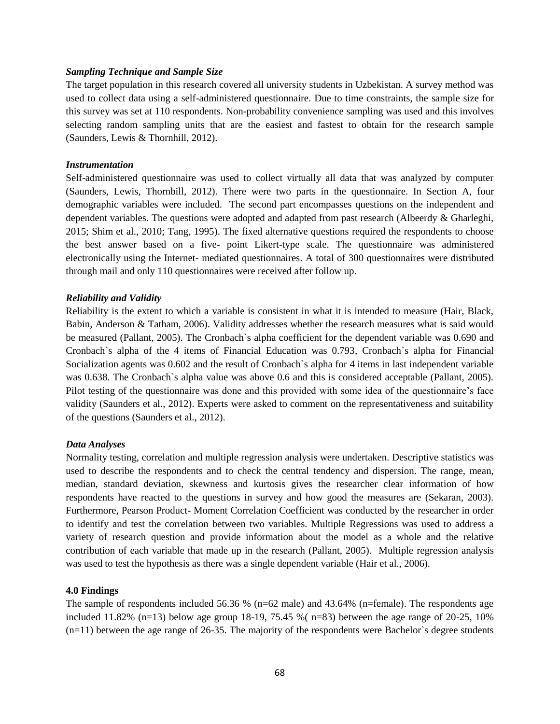## *Sampling Technique and Sample Size*

The target population in this research covered all university students in Uzbekistan. A survey method was used to collect data using a self-administered questionnaire. Due to time constraints, the sample size for this survey was set at 110 respondents. Non-probability convenience sampling was used and this involves selecting random sampling units that are the easiest and fastest to obtain for the research sample (Saunders, Lewis & Thornhill, 2012).

# *Instrumentation*

Self-administered questionnaire was used to collect virtually all data that was analyzed by computer (Saunders, Lewis, Thornbill, 2012). There were two parts in the questionnaire. In Section A, four demographic variables were included. The second part encompasses questions on the independent and dependent variables. The questions were adopted and adapted from past research (Albeerdy & Gharleghi, 2015; Shim et al., 2010; Tang, 1995). The fixed alternative questions required the respondents to choose the best answer based on a five- point Likert-type scale. The questionnaire was administered electronically using the Internet- mediated questionnaires. A total of 300 questionnaires were distributed through mail and only 110 questionnaires were received after follow up.

#### *Reliability and Validity*

Reliability is the extent to which a variable is consistent in what it is intended to measure (Hair, Black, Babin, Anderson & Tatham, 2006). Validity addresses whether the research measures what is said would be measured (Pallant, 2005). The Cronbach`s alpha coefficient for the dependent variable was 0.690 and Cronbach`s alpha of the 4 items of Financial Education was 0.793, Cronbach`s alpha for Financial Socialization agents was 0.602 and the result of Cronbach`s alpha for 4 items in last independent variable was 0.638. The Cronbach`s alpha value was above 0.6 and this is considered acceptable (Pallant, 2005). Pilot testing of the questionnaire was done and this provided with some idea of the questionnaire's face validity (Saunders et al., 2012). Experts were asked to comment on the representativeness and suitability of the questions (Saunders et al., 2012).

#### *Data Analyses*

Normality testing, correlation and multiple regression analysis were undertaken. Descriptive statistics was used to describe the respondents and to check the central tendency and dispersion. The range, mean, median, standard deviation, skewness and kurtosis gives the researcher clear information of how respondents have reacted to the questions in survey and how good the measures are (Sekaran, 2003). Furthermore, Pearson Product- Moment Correlation Coefficient was conducted by the researcher in order to identify and test the correlation between two variables. Multiple Regressions was used to address a variety of research question and provide information about the model as a whole and the relative contribution of each variable that made up in the research (Pallant, 2005). Multiple regression analysis was used to test the hypothesis as there was a single dependent variable (Hair et al., 2006).

#### **4.0 Findings**

The sample of respondents included 56.36 % (n=62 male) and 43.64% (n=female). The respondents age included 11.82% (n=13) below age group 18-19, 75.45 % (n=83) between the age range of 20-25, 10%  $(n=11)$  between the age range of 26-35. The majority of the respondents were Bachelor's degree students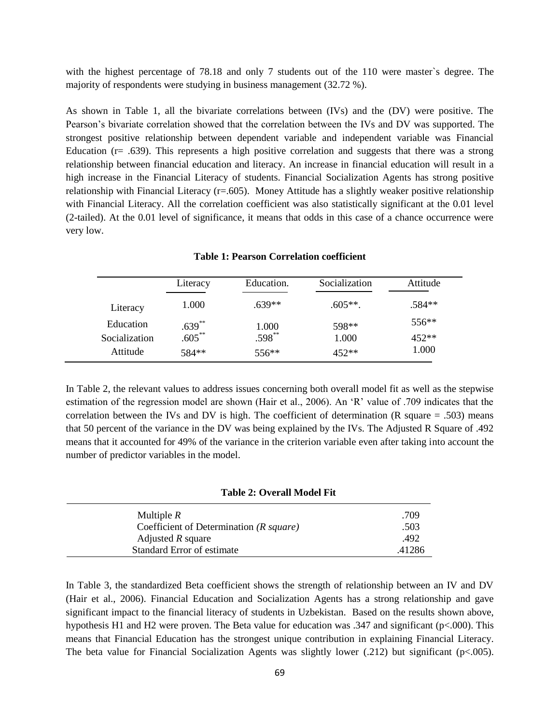with the highest percentage of 78.18 and only 7 students out of the 110 were master's degree. The majority of respondents were studying in business management (32.72 %).

As shown in Table 1, all the bivariate correlations between (IVs) and the (DV) were positive. The Pearson's bivariate correlation showed that the correlation between the IVs and DV was supported. The strongest positive relationship between dependent variable and independent variable was Financial Education ( $r = .639$ ). This represents a high positive correlation and suggests that there was a strong relationship between financial education and literacy. An increase in financial education will result in a high increase in the Financial Literacy of students. Financial Socialization Agents has strong positive relationship with Financial Literacy ( $r=0.605$ ). Money Attitude has a slightly weaker positive relationship with Financial Literacy. All the correlation coefficient was also statistically significant at the 0.01 level (2-tailed). At the 0.01 level of significance, it means that odds in this case of a chance occurrence were very low.

Literacy Education. Socialization Attitude Literacy 1.000 .639\*\* .605\*\*. .584\*\* Education  $.639^{**}$  1.000 598\*\* 556\*\* Socialization .605<sup>\*\*</sup> .598<sup>\*\*</sup> .598<sup>\*\*</sup> 1.000 452\*\* Attitude  $584**$   $556**$   $452**$   $1.000$ 

**Table 1: Pearson Correlation coefficient**

In Table 2, the relevant values to address issues concerning both overall model fit as well as the stepwise estimation of the regression model are shown (Hair et al., 2006). An 'R' value of .709 indicates that the correlation between the IVs and DV is high. The coefficient of determination (R square = .503) means that 50 percent of the variance in the DV was being explained by the IVs. The Adjusted R Square of .492 means that it accounted for 49% of the variance in the criterion variable even after taking into account the number of predictor variables in the model.

| Table 2: Overall Model Fit |  |  |
|----------------------------|--|--|
|                            |  |  |

| Multiple $R$                                 | .709   |
|----------------------------------------------|--------|
| Coefficient of Determination $(R \, square)$ | .503   |
| Adjusted $R$ square                          | .492   |
| Standard Error of estimate                   | .41286 |

In Table 3, the standardized Beta coefficient shows the strength of relationship between an IV and DV (Hair et al., 2006). Financial Education and Socialization Agents has a strong relationship and gave significant impact to the financial literacy of students in Uzbekistan. Based on the results shown above, hypothesis H1 and H2 were proven. The Beta value for education was .347 and significant (p<.000). This means that Financial Education has the strongest unique contribution in explaining Financial Literacy. The beta value for Financial Socialization Agents was slightly lower (.212) but significant (p<.005).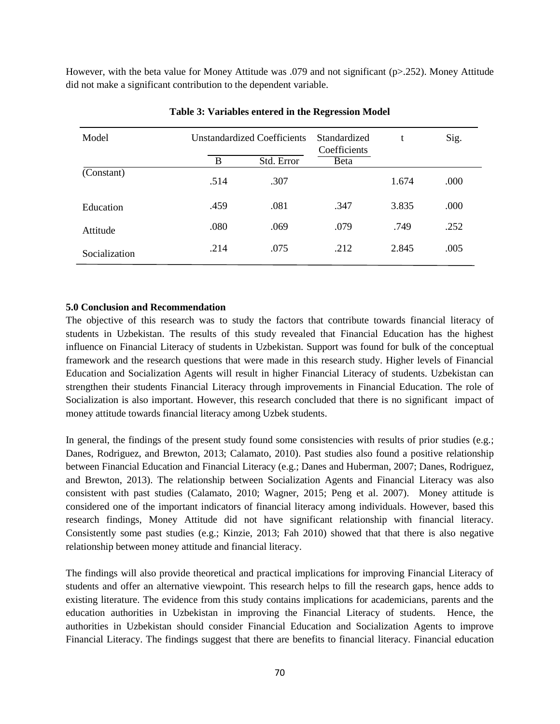However, with the beta value for Money Attitude was .079 and not significant (p>.252). Money Attitude did not make a significant contribution to the dependent variable.

| Model         | <b>Unstandardized Coefficients</b> |            | Standardized<br>Coefficients | t     | Sig. |
|---------------|------------------------------------|------------|------------------------------|-------|------|
|               | B                                  | Std. Error | <b>B</b> eta                 |       |      |
| (Constant)    | .514                               | .307       |                              | 1.674 | .000 |
| Education     | .459                               | .081       | .347                         | 3.835 | .000 |
| Attitude      | .080                               | .069       | .079                         | .749  | .252 |
| Socialization | .214                               | .075       | .212                         | 2.845 | .005 |

## **Table 3: Variables entered in the Regression Model**

# **5.0 Conclusion and Recommendation**

The objective of this research was to study the factors that contribute towards financial literacy of students in Uzbekistan. The results of this study revealed that Financial Education has the highest influence on Financial Literacy of students in Uzbekistan. Support was found for bulk of the conceptual framework and the research questions that were made in this research study. Higher levels of Financial Education and Socialization Agents will result in higher Financial Literacy of students. Uzbekistan can strengthen their students Financial Literacy through improvements in Financial Education. The role of Socialization is also important. However, this research concluded that there is no significant impact of money attitude towards financial literacy among Uzbek students.

In general, the findings of the present study found some consistencies with results of prior studies (e.g.; Danes, Rodriguez, and Brewton, 2013; Calamato, 2010). Past studies also found a positive relationship between Financial Education and Financial Literacy (e.g.; Danes and Huberman, 2007; Danes, Rodriguez, and Brewton, 2013). The relationship between Socialization Agents and Financial Literacy was also consistent with past studies (Calamato, 2010; Wagner, 2015; Peng et al. 2007). Money attitude is considered one of the important indicators of financial literacy among individuals. However, based this research findings, Money Attitude did not have significant relationship with financial literacy. Consistently some past studies (e.g.; Kinzie, 2013; Fah 2010) showed that that there is also negative relationship between money attitude and financial literacy.

The findings will also provide theoretical and practical implications for improving Financial Literacy of students and offer an alternative viewpoint. This research helps to fill the research gaps, hence adds to existing literature. The evidence from this study contains implications for academicians, parents and the education authorities in Uzbekistan in improving the Financial Literacy of students. Hence, the authorities in Uzbekistan should consider Financial Education and Socialization Agents to improve Financial Literacy. The findings suggest that there are benefits to financial literacy. Financial education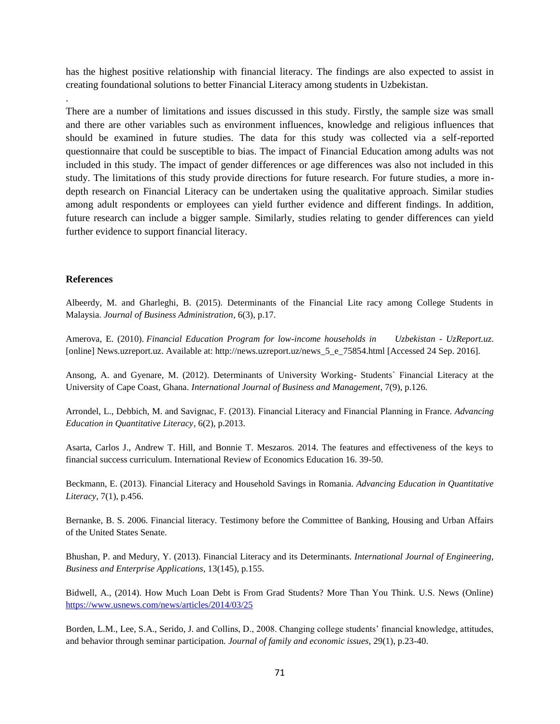has the highest positive relationship with financial literacy. The findings are also expected to assist in creating foundational solutions to better Financial Literacy among students in Uzbekistan.

There are a number of limitations and issues discussed in this study. Firstly, the sample size was small and there are other variables such as environment influences, knowledge and religious influences that should be examined in future studies. The data for this study was collected via a self-reported questionnaire that could be susceptible to bias. The impact of Financial Education among adults was not included in this study. The impact of gender differences or age differences was also not included in this study. The limitations of this study provide directions for future research. For future studies, a more indepth research on Financial Literacy can be undertaken using the qualitative approach. Similar studies among adult respondents or employees can yield further evidence and different findings. In addition, future research can include a bigger sample. Similarly, studies relating to gender differences can yield further evidence to support financial literacy.

# **References**

.

Albeerdy, M. and Gharleghi, B. (2015). Determinants of the Financial Lite racy among College Students in Malaysia. *Journal of Business Administration*, 6(3), p.17.

Amerova, E. (2010). *Financial Education Program for low-income households in Uzbekistan - UzReport.uz*. [online] News.uzreport.uz. Available at: http://news.uzreport.uz/news\_5\_e\_75854.html [Accessed 24 Sep. 2016].

Ansong, A. and Gyenare, M. (2012). Determinants of University Working- Students` Financial Literacy at the University of Cape Coast, Ghana. *International Journal of Business and Management*, 7(9), p.126.

Arrondel, L., Debbich, M. and Savignac, F. (2013). Financial Literacy and Financial Planning in France. *Advancing Education in Quantitative Literacy*, 6(2), p.2013.

Asarta, Carlos J., Andrew T. Hill, and Bonnie T. Meszaros. 2014. The features and effectiveness of the keys to financial success curriculum. International Review of Economics Education 16. 39-50.

Beckmann, E. (2013). Financial Literacy and Household Savings in Romania. *Advancing Education in Quantitative Literacy*, 7(1), p.456.

Bernanke, B. S. 2006. Financial literacy. Testimony before the Committee of Banking, Housing and Urban Affairs of the United States Senate.

Bhushan, P. and Medury, Y. (2013). Financial Literacy and its Determinants. *International Journal of Engineering, Business and Enterprise Applications*, 13(145), p.155.

Bidwell, A., (2014). How Much Loan Debt is From Grad Students? More Than You Think. U.S. News (Online) <https://www.usnews.com/news/articles/2014/03/25>

Borden, L.M., Lee, S.A., Serido, J. and Collins, D., 2008. Changing college students' financial knowledge, attitudes, and behavior through seminar participation. *Journal of family and economic issues*, 29(1), p.23-40.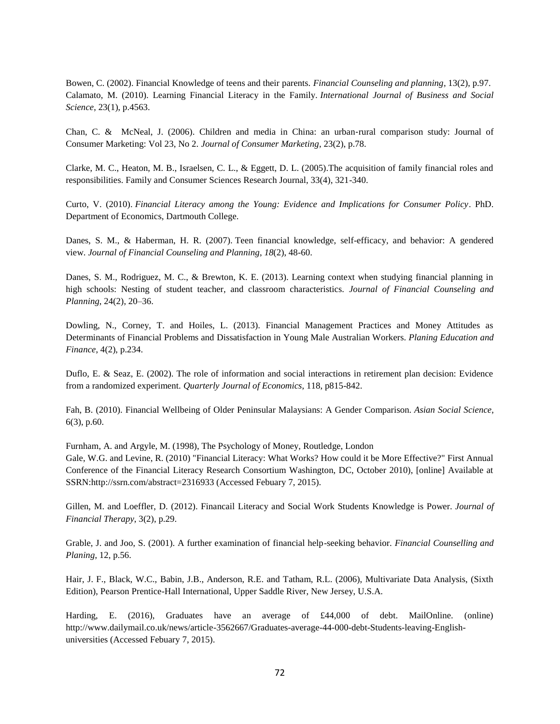Bowen, C. (2002). Financial Knowledge of teens and their parents. *Financial Counseling and planning*, 13(2), p.97. Calamato, M. (2010). Learning Financial Literacy in the Family. *International Journal of Business and Social Science*, 23(1), p.4563.

Chan, C. & McNeal, J. (2006). Children and media in China: an urban‐rural comparison study: Journal of Consumer Marketing: Vol 23, No 2. *Journal of Consumer Marketing*, 23(2), p.78.

Clarke, M. C., Heaton, M. B., Israelsen, C. L., & Eggett, D. L. (2005).The acquisition of family financial roles and responsibilities. Family and Consumer Sciences Research Journal, 33(4), 321-340.

Curto, V. (2010). *Financial Literacy among the Young: Evidence and Implications for Consumer Policy*. PhD. Department of Economics, Dartmouth College.

Danes, S. M., & Haberman, H. R. (2007). Teen financial knowledge, self-efficacy, and behavior: A gendered view. *Journal of Financial Counseling and Planning*, *18*(2), 48-60.

Danes, S. M., Rodriguez, M. C., & Brewton, K. E. (2013). Learning context when studying financial planning in high schools: Nesting of student teacher, and classroom characteristics. *Journal of Financial Counseling and Planning*, 24(2), 20–36.

Dowling, N., Corney, T. and Hoiles, L. (2013). Financial Management Practices and Money Attitudes as Determinants of Financial Problems and Dissatisfaction in Young Male Australian Workers. *Planing Education and Finance*, 4(2), p.234.

Duflo, E. & Seaz, E. (2002). The role of information and social interactions in retirement plan decision: Evidence from a randomized experiment. *Quarterly Journal of Economics*, 118, p815-842.

Fah, B. (2010). Financial Wellbeing of Older Peninsular Malaysians: A Gender Comparison. *Asian Social Science*, 6(3), p.60.

Furnham, A. and Argyle, M. (1998), The Psychology of Money, Routledge, London Gale, W.G. and Levine, R. (2010) "Financial Literacy: What Works? How could it be More Effective?" First Annual Conference of the Financial Literacy Research Consortium Washington, DC, October 2010), [online] Available at SSRN:http://ssrn.com/abstract=2316933 (Accessed Febuary 7, 2015).

Gillen, M. and Loeffler, D. (2012). Financail Literacy and Social Work Students Knowledge is Power. *Journal of Financial Therapy*, 3(2), p.29.

Grable, J. and Joo, S. (2001). A further examination of financial help-seeking behavior. *Financial Counselling and Planing*, 12, p.56.

Hair, J. F., Black, W.C., Babin, J.B., Anderson, R.E. and Tatham, R.L. (2006), Multivariate Data Analysis, (Sixth Edition), Pearson Prentice-Hall International, Upper Saddle River, New Jersey, U.S.A.

Harding, E. (2016), Graduates have an average of £44,000 of debt. MailOnline. (online) http://www.dailymail.co.uk/news/article-3562667/Graduates-average-44-000-debt-Students-leaving-Englishuniversities (Accessed Febuary 7, 2015).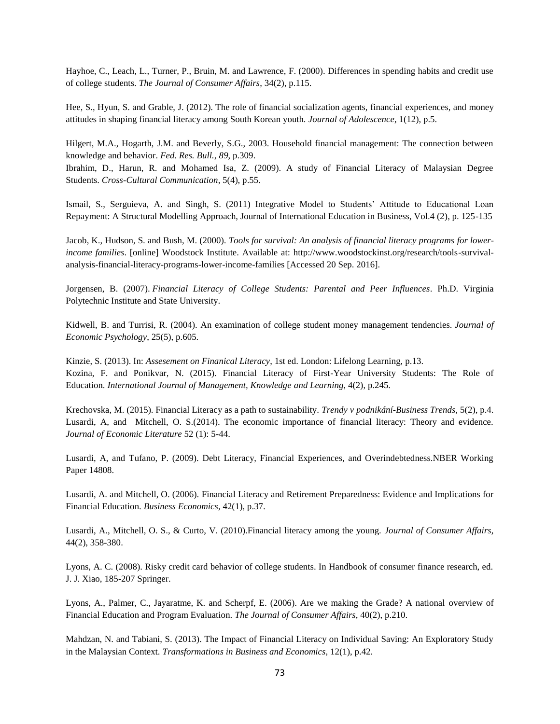Hayhoe, C., Leach, L., Turner, P., Bruin, M. and Lawrence, F. (2000). Differences in spending habits and credit use of college students. *The Journal of Consumer Affairs*, 34(2), p.115.

Hee, S., Hyun, S. and Grable, J. (2012). The role of financial socialization agents, financial experiences, and money attitudes in shaping financial literacy among South Korean youth. *Journal of Adolescence*, 1(12), p.5.

Hilgert, M.A., Hogarth, J.M. and Beverly, S.G., 2003. Household financial management: The connection between knowledge and behavior. *Fed. Res. Bull.*, *89*, p.309.

Ibrahim, D., Harun, R. and Mohamed Isa, Z. (2009). A study of Financial Literacy of Malaysian Degree Students. *Cross-Cultural Communication*, 5(4), p.55.

Ismail, S., Serguieva, A. and Singh, S. (2011) Integrative Model to Students' Attitude to Educational Loan Repayment: A Structural Modelling Approach, Journal of International Education in Business, Vol.4 (2), p. 125-135

Jacob, K., Hudson, S. and Bush, M. (2000). *Tools for survival: An analysis of financial literacy programs for lowerincome families*. [online] Woodstock Institute. Available at: http://www.woodstockinst.org/research/tools-survivalanalysis-financial-literacy-programs-lower-income-families [Accessed 20 Sep. 2016].

Jorgensen, B. (2007). *Financial Literacy of College Students: Parental and Peer Influences*. Ph.D. Virginia Polytechnic Institute and State University.

Kidwell, B. and Turrisi, R. (2004). An examination of college student money management tendencies. *Journal of Economic Psychology*, 25(5), p.605.

Kinzie, S. (2013). In: *Assesement on Finanical Literacy*, 1st ed. London: Lifelong Learning, p.13. Kozina, F. and Ponikvar, N. (2015). Financial Literacy of First-Year University Students: The Role of Education. *International Journal of Management, Knowledge and Learning*, 4(2), p.245.

Krechovska, M. (2015). Financial Literacy as a path to sustainability. *Trendy v podnikání-Business Trends,* 5(2), p.4. Lusardi, A, and Mitchell, O. S.(2014). The economic importance of financial literacy: Theory and evidence. *Journal of Economic Literature* 52 (1): 5-44.

Lusardi, A, and Tufano, P. (2009). Debt Literacy, Financial Experiences, and Overindebtedness.NBER Working Paper 14808.

Lusardi, A. and Mitchell, O. (2006). Financial Literacy and Retirement Preparedness: Evidence and Implications for Financial Education. *Business Economics*, 42(1), p.37.

Lusardi, A., Mitchell, O. S., & Curto, V. (2010).Financial literacy among the young. *Journal of Consumer Affairs*, 44(2), 358-380.

Lyons, A. C. (2008). Risky credit card behavior of college students. In Handbook of consumer finance research, ed. J. J. Xiao, 185-207 Springer.

Lyons, A., Palmer, C., Jayaratme, K. and Scherpf, E. (2006). Are we making the Grade? A national overview of Financial Education and Program Evaluation. *The Journal of Consumer Affairs*, 40(2), p.210.

Mahdzan, N. and Tabiani, S. (2013). The Impact of Financial Literacy on Individual Saving: An Exploratory Study in the Malaysian Context. *Transformations in Business and Economics*, 12(1), p.42.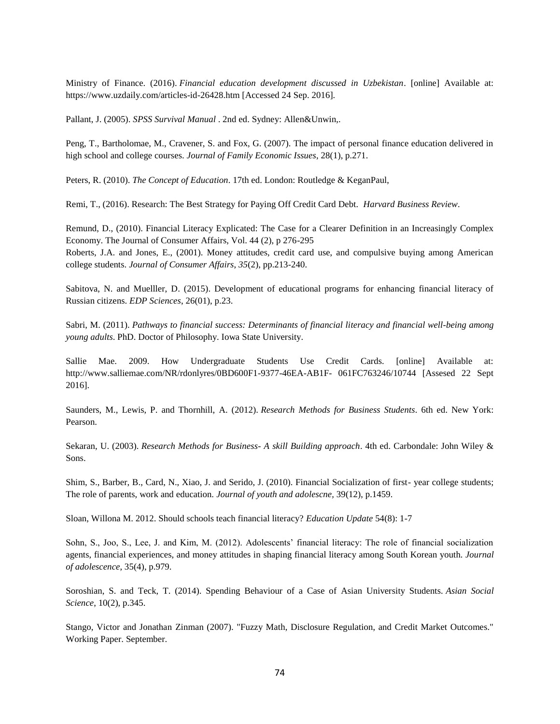Ministry of Finance. (2016). *Financial education development discussed in Uzbekistan*. [online] Available at: https://www.uzdaily.com/articles-id-26428.htm [Accessed 24 Sep. 2016].

Pallant, J. (2005). *SPSS Survival Manual* . 2nd ed. Sydney: Allen&Unwin,.

Peng, T., Bartholomae, M., Cravener, S. and Fox, G. (2007). The impact of personal finance education delivered in high school and college courses. *Journal of Family Economic Issues*, 28(1), p.271.

Peters, R. (2010). *The Concept of Education*. 17th ed. London: Routledge & KeganPaul,

Remi, T., (2016). Research: The Best Strategy for Paying Off Credit Card Debt. *Harvard Business Review*.

Remund, D., (2010). Financial Literacy Explicated: The Case for a Clearer Definition in an Increasingly Complex Economy. The Journal of Consumer Affairs, Vol. 44 (2), p 276-295 Roberts, J.A. and Jones, E., (2001). Money attitudes, credit card use, and compulsive buying among American

college students. *Journal of Consumer Affairs*, *35*(2), pp.213-240.

Sabitova, N. and Muelller, D. (2015). Development of educational programs for enhancing financial literacy of Russian citizens. *EDP Sciences*, 26(01), p.23.

Sabri, M. (2011). *Pathways to financial success: Determinants of financial literacy and financial well-being among young adults*. PhD. Doctor of Philosophy. Iowa State University.

Sallie Mae. 2009. How Undergraduate Students Use Credit Cards. [online] Available at: http://www.salliemae.com/NR/rdonlyres/0BD600F1-9377-46EA-AB1F- 061FC763246/10744 [Assesed 22 Sept 2016].

Saunders, M., Lewis, P. and Thornhill, A. (2012). *Research Methods for Business Students*. 6th ed. New York: Pearson.

Sekaran, U. (2003). *Research Methods for Business- A skill Building approach*. 4th ed. Carbondale: John Wiley & Sons.

Shim, S., Barber, B., Card, N., Xiao, J. and Serido, J. (2010). Financial Socialization of first- year college students; The role of parents, work and education. *Journal of youth and adolescne,* 39(12), p.1459.

Sloan, Willona M. 2012. Should schools teach financial literacy? *Education Update* 54(8): 1-7

Sohn, S., Joo, S., Lee, J. and Kim, M. (2012). Adolescents' financial literacy: The role of financial socialization agents, financial experiences, and money attitudes in shaping financial literacy among South Korean youth. *Journal of adolescence*, 35(4), p.979.

Soroshian, S. and Teck, T. (2014). Spending Behaviour of a Case of Asian University Students. *Asian Social Science*, 10(2), p.345.

Stango, Victor and Jonathan Zinman (2007). "Fuzzy Math, Disclosure Regulation, and Credit Market Outcomes." Working Paper. September.